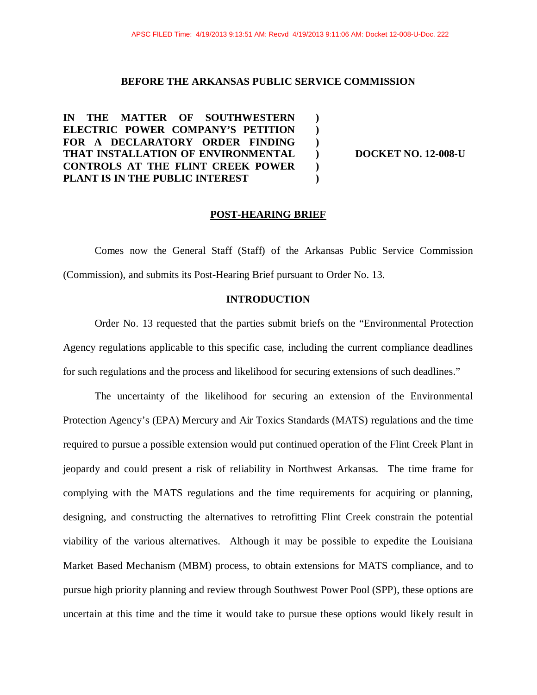**) ) ) ) ) )** 

## **BEFORE THE ARKANSAS PUBLIC SERVICE COMMISSION**

**IN THE MATTER OF SOUTHWESTERN ELECTRIC POWER COMPANY'S PETITION FOR A DECLARATORY ORDER FINDING THAT INSTALLATION OF ENVIRONMENTAL CONTROLS AT THE FLINT CREEK POWER PLANT IS IN THE PUBLIC INTEREST** 

**DOCKET NO. 12-008-U** 

### **POST-HEARING BRIEF**

Comes now the General Staff (Staff) of the Arkansas Public Service Commission (Commission), and submits its Post-Hearing Brief pursuant to Order No. 13.

# **INTRODUCTION**

Order No. 13 requested that the parties submit briefs on the "Environmental Protection Agency regulations applicable to this specific case, including the current compliance deadlines for such regulations and the process and likelihood for securing extensions of such deadlines."

The uncertainty of the likelihood for securing an extension of the Environmental Protection Agency's (EPA) Mercury and Air Toxics Standards (MATS) regulations and the time required to pursue a possible extension would put continued operation of the Flint Creek Plant in jeopardy and could present a risk of reliability in Northwest Arkansas. The time frame for complying with the MATS regulations and the time requirements for acquiring or planning, designing, and constructing the alternatives to retrofitting Flint Creek constrain the potential viability of the various alternatives. Although it may be possible to expedite the Louisiana Market Based Mechanism (MBM) process, to obtain extensions for MATS compliance, and to pursue high priority planning and review through Southwest Power Pool (SPP), these options are uncertain at this time and the time it would take to pursue these options would likely result in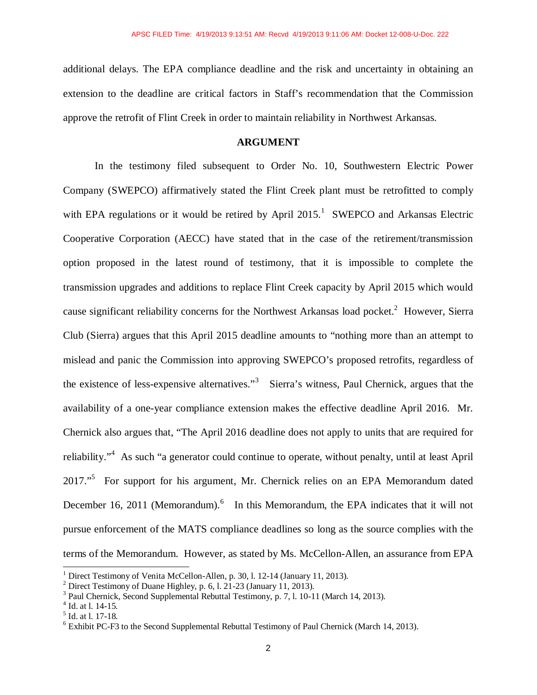additional delays. The EPA compliance deadline and the risk and uncertainty in obtaining an extension to the deadline are critical factors in Staff's recommendation that the Commission approve the retrofit of Flint Creek in order to maintain reliability in Northwest Arkansas.

# **ARGUMENT**

In the testimony filed subsequent to Order No. 10, Southwestern Electric Power Company (SWEPCO) affirmatively stated the Flint Creek plant must be retrofitted to comply with EPA regulations or it would be retired by April  $2015$ .<sup>1</sup> SWEPCO and Arkansas Electric Cooperative Corporation (AECC) have stated that in the case of the retirement/transmission option proposed in the latest round of testimony, that it is impossible to complete the transmission upgrades and additions to replace Flint Creek capacity by April 2015 which would cause significant reliability concerns for the Northwest Arkansas load pocket.<sup>2</sup> However, Sierra Club (Sierra) argues that this April 2015 deadline amounts to "nothing more than an attempt to mislead and panic the Commission into approving SWEPCO's proposed retrofits, regardless of the existence of less-expensive alternatives.<sup>3</sup> Sierra's witness, Paul Chernick, argues that the availability of a one-year compliance extension makes the effective deadline April 2016. Mr. Chernick also argues that, "The April 2016 deadline does not apply to units that are required for reliability."<sup>4</sup> As such "a generator could continue to operate, without penalty, until at least April 2017."<sup>5</sup> For support for his argument, Mr. Chernick relies on an EPA Memorandum dated December 16, 2011 (Memorandum).<sup>6</sup> In this Memorandum, the EPA indicates that it will not pursue enforcement of the MATS compliance deadlines so long as the source complies with the terms of the Memorandum. However, as stated by Ms. McCellon-Allen, an assurance from EPA

 $\overline{\phantom{a}}$ 

<sup>&</sup>lt;sup>1</sup> Direct Testimony of Venita McCellon-Allen, p. 30, l. 12-14 (January 11, 2013).

<sup>&</sup>lt;sup>2</sup> Direct Testimony of Duane Highley, p. 6, l. 21-23 (January 11, 2013).

<sup>&</sup>lt;sup>3</sup> Paul Chernick, Second Supplemental Rebuttal Testimony, p. 7, l. 10-11 (March 14, 2013).

<sup>4</sup> Id. at l. 14-15.

<sup>5</sup> Id. at l. 17-18.

 $6$  Exhibit PC-F3 to the Second Supplemental Rebuttal Testimony of Paul Chernick (March 14, 2013).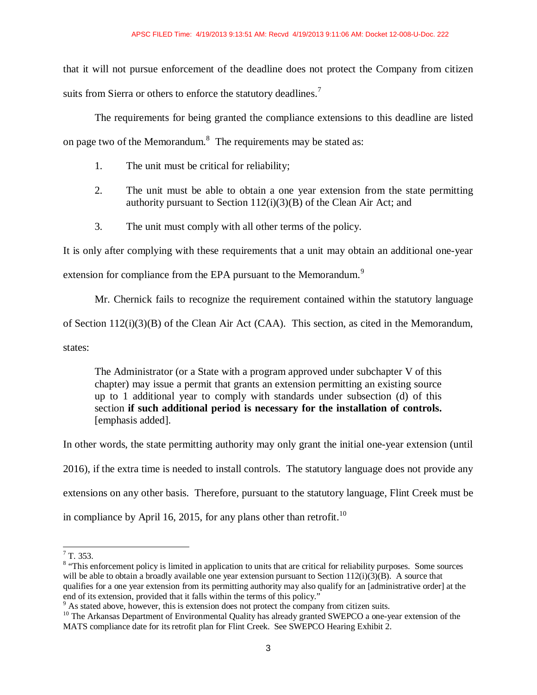that it will not pursue enforcement of the deadline does not protect the Company from citizen suits from Sierra or others to enforce the statutory deadlines.<sup>7</sup>

The requirements for being granted the compliance extensions to this deadline are listed on page two of the Memorandum. $^8$  The requirements may be stated as:

- 1. The unit must be critical for reliability;
- 2. The unit must be able to obtain a one year extension from the state permitting authority pursuant to Section 112(i)(3)(B) of the Clean Air Act; and
- 3. The unit must comply with all other terms of the policy.

It is only after complying with these requirements that a unit may obtain an additional one-year

extension for compliance from the EPA pursuant to the Memorandum.<sup>9</sup>

Mr. Chernick fails to recognize the requirement contained within the statutory language

of Section 112(i)(3)(B) of the Clean Air Act (CAA). This section, as cited in the Memorandum,

states:

The Administrator (or a State with a program approved under subchapter V of this chapter) may issue a permit that grants an extension permitting an existing source up to 1 additional year to comply with standards under subsection (d) of this section **if such additional period is necessary for the installation of controls.**  [emphasis added].

In other words, the state permitting authority may only grant the initial one-year extension (until

2016), if the extra time is needed to install controls. The statutory language does not provide any

extensions on any other basis. Therefore, pursuant to the statutory language, Flint Creek must be

in compliance by April 16, 2015, for any plans other than retrofit.<sup>10</sup>

 $\frac{1}{7}$  T. 353.

<sup>&</sup>lt;sup>8</sup> "This enforcement policy is limited in application to units that are critical for reliability purposes. Some sources will be able to obtain a broadly available one year extension pursuant to Section  $112(i)(3)(B)$ . A source that qualifies for a one year extension from its permitting authority may also qualify for an [administrative order] at the end of its extension, provided that it falls within the terms of this policy."

<sup>&</sup>lt;sup>9</sup> As stated above, however, this is extension does not protect the company from citizen suits.

<sup>&</sup>lt;sup>10</sup> The Arkansas Department of Environmental Quality has already granted SWEPCO a one-year extension of the MATS compliance date for its retrofit plan for Flint Creek. See SWEPCO Hearing Exhibit 2.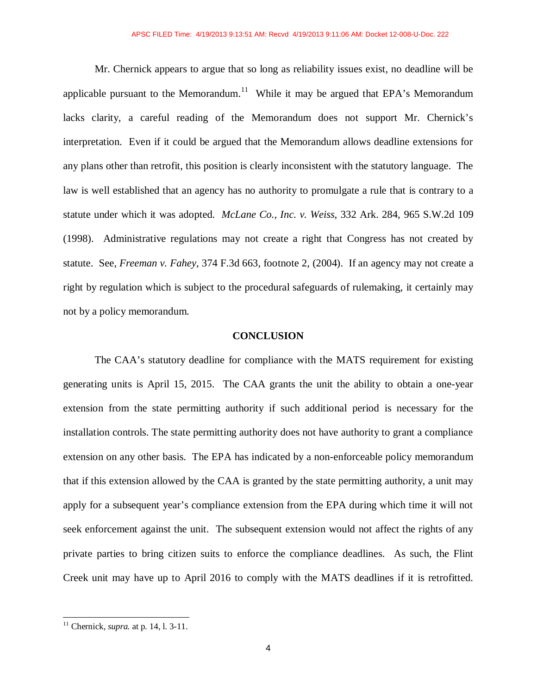Mr. Chernick appears to argue that so long as reliability issues exist, no deadline will be applicable pursuant to the Memorandum.<sup>11</sup> While it may be argued that EPA's Memorandum lacks clarity, a careful reading of the Memorandum does not support Mr. Chernick's interpretation. Even if it could be argued that the Memorandum allows deadline extensions for any plans other than retrofit, this position is clearly inconsistent with the statutory language. The law is well established that an agency has no authority to promulgate a rule that is contrary to a statute under which it was adopted. *McLane Co., Inc. v. Weiss*, 332 Ark. 284, 965 S.W.2d 109 (1998). Administrative regulations may not create a right that Congress has not created by statute. See, *Freeman v. Fahey*, 374 F.3d 663, footnote 2, (2004). If an agency may not create a right by regulation which is subject to the procedural safeguards of rulemaking, it certainly may not by a policy memorandum.

#### **CONCLUSION**

The CAA's statutory deadline for compliance with the MATS requirement for existing generating units is April 15, 2015. The CAA grants the unit the ability to obtain a one-year extension from the state permitting authority if such additional period is necessary for the installation controls. The state permitting authority does not have authority to grant a compliance extension on any other basis. The EPA has indicated by a non-enforceable policy memorandum that if this extension allowed by the CAA is granted by the state permitting authority, a unit may apply for a subsequent year's compliance extension from the EPA during which time it will not seek enforcement against the unit. The subsequent extension would not affect the rights of any private parties to bring citizen suits to enforce the compliance deadlines. As such, the Flint Creek unit may have up to April 2016 to comply with the MATS deadlines if it is retrofitted.

-

<sup>11</sup> Chernick, *supra.* at p. 14, l. 3-11.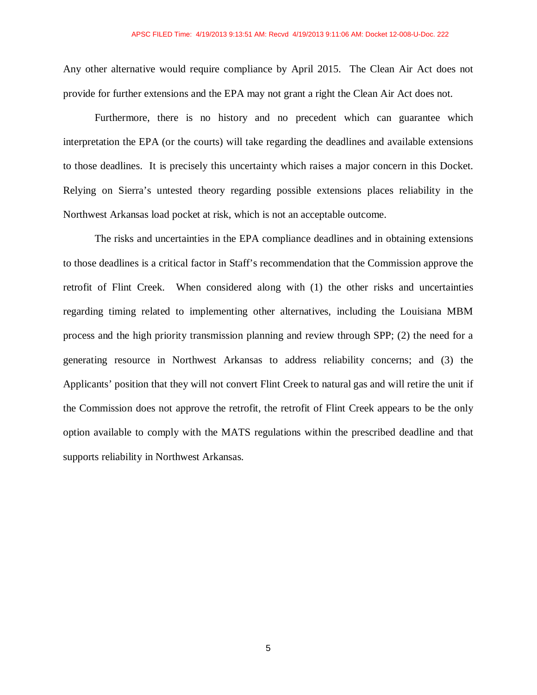Any other alternative would require compliance by April 2015. The Clean Air Act does not provide for further extensions and the EPA may not grant a right the Clean Air Act does not.

Furthermore, there is no history and no precedent which can guarantee which interpretation the EPA (or the courts) will take regarding the deadlines and available extensions to those deadlines. It is precisely this uncertainty which raises a major concern in this Docket. Relying on Sierra's untested theory regarding possible extensions places reliability in the Northwest Arkansas load pocket at risk, which is not an acceptable outcome.

 The risks and uncertainties in the EPA compliance deadlines and in obtaining extensions to those deadlines is a critical factor in Staff's recommendation that the Commission approve the retrofit of Flint Creek. When considered along with (1) the other risks and uncertainties regarding timing related to implementing other alternatives, including the Louisiana MBM process and the high priority transmission planning and review through SPP; (2) the need for a generating resource in Northwest Arkansas to address reliability concerns; and (3) the Applicants' position that they will not convert Flint Creek to natural gas and will retire the unit if the Commission does not approve the retrofit, the retrofit of Flint Creek appears to be the only option available to comply with the MATS regulations within the prescribed deadline and that supports reliability in Northwest Arkansas.